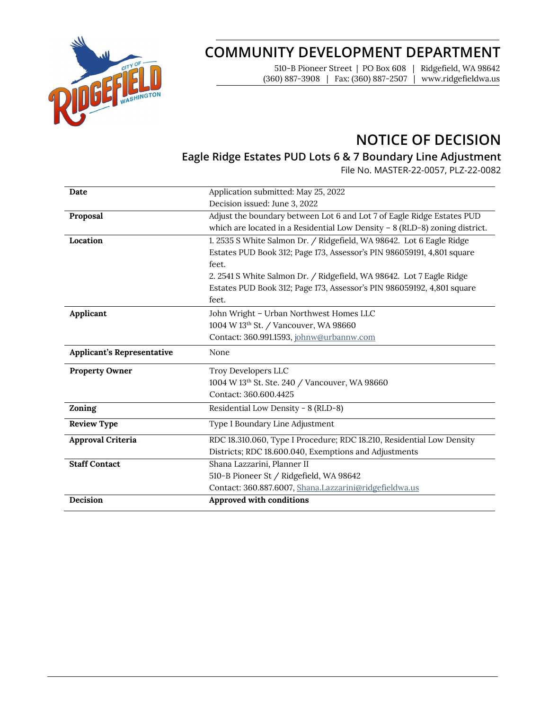

# **COMMUNITY DEVELOPMENT DEPARTMENT**

510-B Pioneer Street | PO Box 608 | Ridgefield, WA 98642 (360) 887-3908 | Fax: (360) 887-2507 | www.ridgefieldwa.us

# **NOTICE OF DECISION**

### **Eagle Ridge Estates PUD Lots 6 & 7 Boundary Line Adjustment**

File No. MASTER-22-0057, PLZ-22-0082

| Date                              | Application submitted: May 25, 2022                                           |  |  |
|-----------------------------------|-------------------------------------------------------------------------------|--|--|
|                                   | Decision issued: June 3, 2022                                                 |  |  |
| Proposal                          | Adjust the boundary between Lot 6 and Lot 7 of Eagle Ridge Estates PUD        |  |  |
|                                   | which are located in a Residential Low Density $- 8$ (RLD-8) zoning district. |  |  |
| Location                          | 1. 2535 S White Salmon Dr. / Ridgefield, WA 98642. Lot 6 Eagle Ridge          |  |  |
|                                   | Estates PUD Book 312; Page 173, Assessor's PIN 986059191, 4,801 square        |  |  |
|                                   | feet.                                                                         |  |  |
|                                   | 2. 2541 S White Salmon Dr. / Ridgefield, WA 98642. Lot 7 Eagle Ridge          |  |  |
|                                   | Estates PUD Book 312; Page 173, Assessor's PIN 986059192, 4,801 square        |  |  |
|                                   | feet.                                                                         |  |  |
| Applicant                         | John Wright - Urban Northwest Homes LLC                                       |  |  |
|                                   | 1004 W 13th St. / Vancouver, WA 98660                                         |  |  |
|                                   | Contact: 360.991.1593, johnw@urbannw.com                                      |  |  |
|                                   | None                                                                          |  |  |
| <b>Applicant's Representative</b> |                                                                               |  |  |
| <b>Property Owner</b>             | Troy Developers LLC                                                           |  |  |
|                                   | 1004 W 13th St. Ste. 240 / Vancouver, WA 98660                                |  |  |
|                                   | Contact: 360.600.4425                                                         |  |  |
| Zoning                            | Residential Low Density - 8 (RLD-8)                                           |  |  |
| <b>Review Type</b>                | Type I Boundary Line Adjustment                                               |  |  |
| Approval Criteria                 | RDC 18.310.060, Type I Procedure; RDC 18.210, Residential Low Density         |  |  |
|                                   | Districts; RDC 18.600.040, Exemptions and Adjustments                         |  |  |
| <b>Staff Contact</b>              | Shana Lazzarini, Planner II                                                   |  |  |
|                                   | 510-B Pioneer St / Ridgefield, WA 98642                                       |  |  |
|                                   | Contact: 360.887.6007, Shana.Lazzarini@ridgefieldwa.us                        |  |  |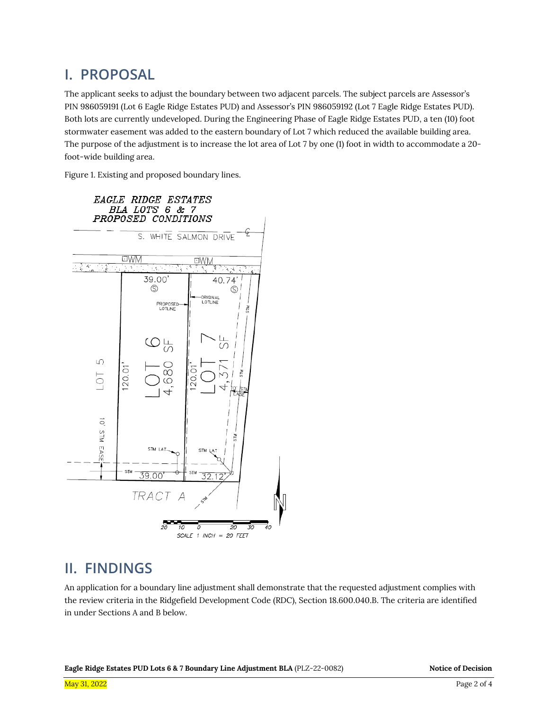## **I. PROPOSAL**

The applicant seeks to adjust the boundary between two adjacent parcels. The subject parcels are Assessor's PIN 986059191 (Lot 6 Eagle Ridge Estates PUD) and Assessor's PIN 986059192 (Lot 7 Eagle Ridge Estates PUD). Both lots are currently undeveloped. During the Engineering Phase of Eagle Ridge Estates PUD, a ten (10) foot stormwater easement was added to the eastern boundary of Lot 7 which reduced the available building area. The purpose of the adjustment is to increase the lot area of Lot 7 by one (1) foot in width to accommodate a 20 foot-wide building area.

Figure 1. Existing and proposed boundary lines.



## **II. FINDINGS**

An application for a boundary line adjustment shall demonstrate that the requested adjustment complies with the review criteria in the Ridgefield Development Code (RDC), Section 18.600.040.B. The criteria are identified in under Sections A and B below.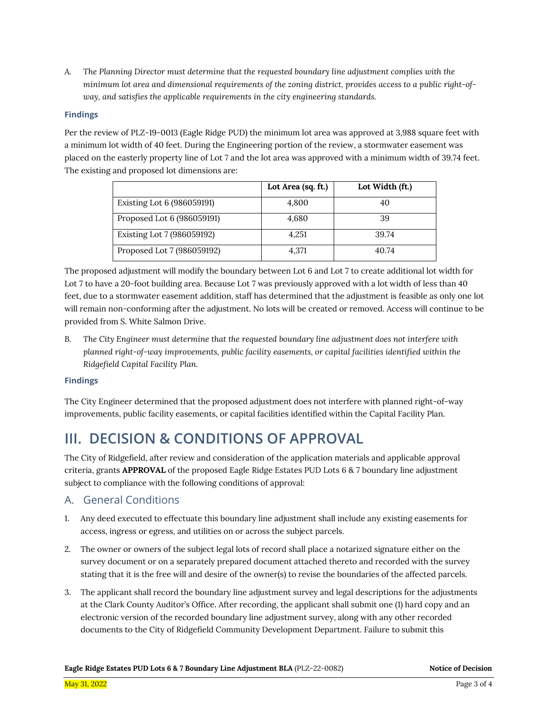*A. The Planning Director must determine that the requested boundary line adjustment complies with the minimum lot area and dimensional requirements of the zoning district, provides access to a public right-ofway, and satisfies the applicable requirements in the city engineering standards.*

#### **Findings**

Per the review of PLZ-19-0013 (Eagle Ridge PUD) the minimum lot area was approved at 3,988 square feet with a minimum lot width of 40 feet. During the Engineering portion of the review, a stormwater easement was placed on the easterly property line of Lot 7 and the lot area was approved with a minimum width of 39.74 feet. The existing and proposed lot dimensions are:

|                            | Lot Area (sq. ft.) | Lot Width (ft.) |
|----------------------------|--------------------|-----------------|
| Existing Lot 6 (986059191) | 4,800              |                 |
| Proposed Lot 6 (986059191) | 4,680              | 39              |
| Existing Lot 7 (986059192) | 4.251              | 39.74           |
| Proposed Lot 7 (986059192) | 4,371              | 40.74           |

The proposed adjustment will modify the boundary between Lot 6 and Lot 7 to create additional lot width for Lot 7 to have a 20-foot building area. Because Lot 7 was previously approved with a lot width of less than 40 feet, due to a stormwater easement addition, staff has determined that the adjustment is feasible as only one lot will remain non-conforming after the adjustment. No lots will be created or removed. Access will continue to be provided from S. White Salmon Drive.

*B. The City Engineer must determine that the requested boundary line adjustment does not interfere with planned right-of-way improvements, public facility easements, or capital facilities identified within the Ridgefield Capital Facility Plan.*

#### **Findings**

The City Engineer determined that the proposed adjustment does not interfere with planned right-of-way improvements, public facility easements, or capital facilities identified within the Capital Facility Plan.

## **III. DECISION & CONDITIONS OF APPROVAL**

The City of Ridgefield, after review and consideration of the application materials and applicable approval criteria, grants **APPROVAL** of the proposed Eagle Ridge Estates PUD Lots 6 & 7 boundary line adjustment subject to compliance with the following conditions of approval:

#### A. General Conditions

- 1. Any deed executed to effectuate this boundary line adjustment shall include any existing easements for access, ingress or egress, and utilities on or across the subject parcels.
- 2. The owner or owners of the subject legal lots of record shall place a notarized signature either on the survey document or on a separately prepared document attached thereto and recorded with the survey stating that it is the free will and desire of the owner(s) to revise the boundaries of the affected parcels.
- 3. The applicant shall record the boundary line adjustment survey and legal descriptions for the adjustments at the Clark County Auditor's Office. After recording, the applicant shall submit one (1) hard copy and an electronic version of the recorded boundary line adjustment survey, along with any other recorded documents to the City of Ridgefield Community Development Department. Failure to submit this

**Eagle Ridge Estates PUD Lots 6 & 7 Boundary Line Adjustment BLA** (PLZ-22-0082) **Notice of Decision**